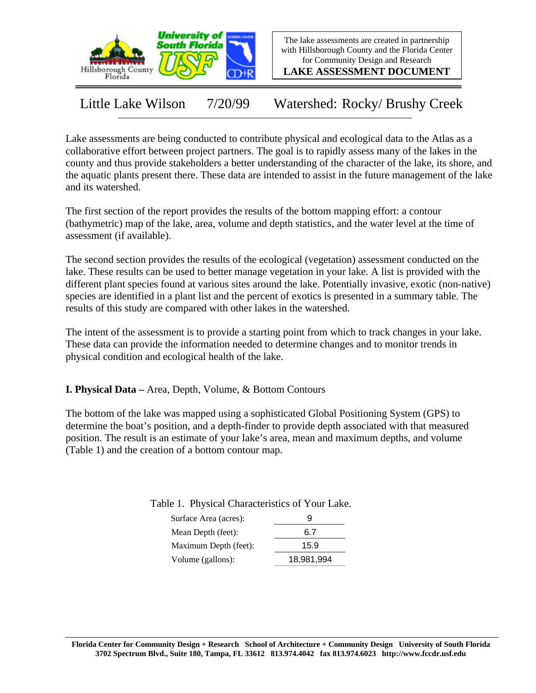

The lake assessments are created in partnership with Hillsborough County and the Florida Center for Community Design and Research

**LAKE ASSESSMENT DOCUMENT**

Little Lake Wilson 7/20/99 Watershed: Rocky/ Brushy Creek

Lake assessments are being conducted to contribute physical and ecological data to the Atlas as a collaborative effort between project partners. The goal is to rapidly assess many of the lakes in the county and thus provide stakeholders a better understanding of the character of the lake, its shore, and the aquatic plants present there. These data are intended to assist in the future management of the lake and its watershed.

The first section of the report provides the results of the bottom mapping effort: a contour (bathymetric) map of the lake, area, volume and depth statistics, and the water level at the time of assessment (if available).

The second section provides the results of the ecological (vegetation) assessment conducted on the lake. These results can be used to better manage vegetation in your lake. A list is provided with the different plant species found at various sites around the lake. Potentially invasive, exotic (non-native) species are identified in a plant list and the percent of exotics is presented in a summary table. The results of this study are compared with other lakes in the watershed.

The intent of the assessment is to provide a starting point from which to track changes in your lake. These data can provide the information needed to determine changes and to monitor trends in physical condition and ecological health of the lake.

**I. Physical Data –** Area, Depth, Volume, & Bottom Contours

The bottom of the lake was mapped using a sophisticated Global Positioning System (GPS) to determine the boat's position, and a depth-finder to provide depth associated with that measured position. The result is an estimate of your lake's area, mean and maximum depths, and volume (Table 1) and the creation of a bottom contour map.

| Surface Area (acres): | 9          |
|-----------------------|------------|
| Mean Depth (feet):    | 6.7        |
| Maximum Depth (feet): | 15.9       |
| Volume (gallons):     | 18,981,994 |

Table 1. Physical Characteristics of Your Lake.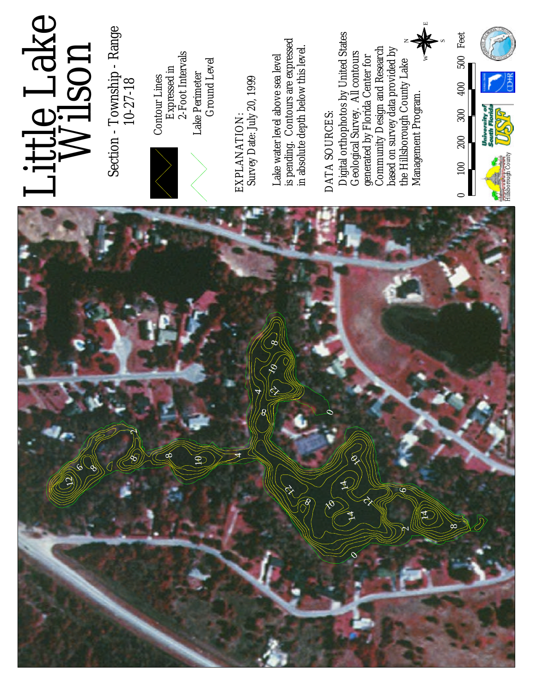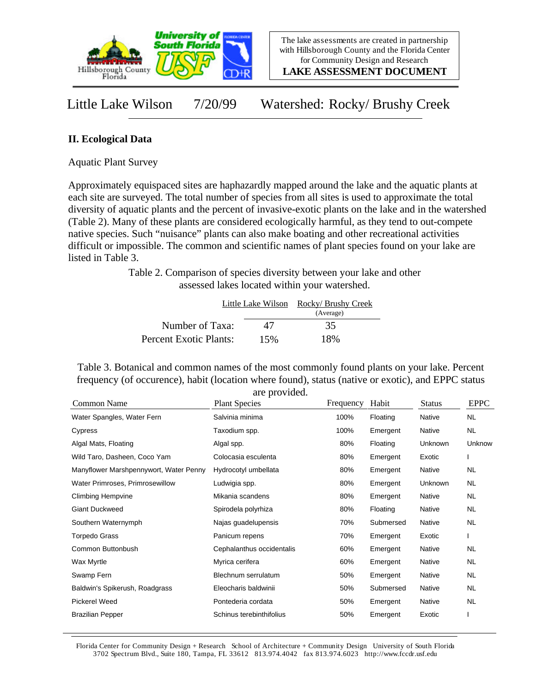

**LAKE ASSESSMENT DOCUMENT**

Little Lake Wilson 7/20/99 Watershed: Rocky/ Brushy Creek

## **II. Ecological Data**

Aquatic Plant Survey

Approximately equispaced sites are haphazardly mapped around the lake and the aquatic plants at each site are surveyed. The total number of species from all sites is used to approximate the total diversity of aquatic plants and the percent of invasive-exotic plants on the lake and in the watershed (Table 2). Many of these plants are considered ecologically harmful, as they tend to out-compete native species. Such "nuisance" plants can also make boating and other recreational activities difficult or impossible. The common and scientific names of plant species found on your lake are listed in Table 3.

> Table 2. Comparison of species diversity between your lake and other assessed lakes located within your watershed.

|                        | Little Lake Wilson | Rocky/ Brushy Creek<br>(Average) |  |
|------------------------|--------------------|----------------------------------|--|
| Number of Taxa:        | 47                 | 35                               |  |
| Percent Exotic Plants: | 15%                | 18%                              |  |

Table 3. Botanical and common names of the most commonly found plants on your lake. Percent frequency (of occurence), habit (location where found), status (native or exotic), and EPPC status are provided.

| Common Name                            | <b>Plant Species</b>      | Frequency | Habit     | <b>Status</b> | <b>EPPC</b> |
|----------------------------------------|---------------------------|-----------|-----------|---------------|-------------|
| Water Spangles, Water Fern             | Salvinia minima           | 100%      | Floating  | Native        | <b>NL</b>   |
| Cypress                                | Taxodium spp.             | 100%      | Emergent  | Native        | <b>NL</b>   |
| Algal Mats, Floating                   | Algal spp.                | 80%       | Floating  | Unknown       | Unknow      |
| Wild Taro, Dasheen, Coco Yam           | Colocasia esculenta       | 80%       | Emergent  | Exotic        |             |
| Manyflower Marshpennywort, Water Penny | Hydrocotyl umbellata      | 80%       | Emergent  | Native        | <b>NL</b>   |
| Water Primroses, Primrosewillow        | Ludwigia spp.             | 80%       | Emergent  | Unknown       | <b>NL</b>   |
| <b>Climbing Hempvine</b>               | Mikania scandens          | 80%       | Emergent  | Native        | <b>NL</b>   |
| <b>Giant Duckweed</b>                  | Spirodela polyrhiza       | 80%       | Floating  | Native        | <b>NL</b>   |
| Southern Waternymph                    | Najas guadelupensis       | 70%       | Submersed | Native        | <b>NL</b>   |
| Torpedo Grass                          | Panicum repens            | 70%       | Emergent  | Exotic        |             |
| Common Buttonbush                      | Cephalanthus occidentalis | 60%       | Emergent  | Native        | <b>NL</b>   |
| Wax Myrtle                             | Myrica cerifera           | 60%       | Emergent  | Native        | <b>NL</b>   |
| Swamp Fern                             | Blechnum serrulatum       | 50%       | Emergent  | Native        | <b>NL</b>   |
| Baldwin's Spikerush, Roadgrass         | Eleocharis baldwinii      | 50%       | Submersed | Native        | <b>NL</b>   |
| <b>Pickerel Weed</b>                   | Pontederia cordata        | 50%       | Emergent  | Native        | <b>NL</b>   |
| <b>Brazilian Pepper</b>                | Schinus terebinthifolius  | 50%       | Emergent  | Exotic        |             |

Florida Center for Community Design + Research School of Architecture + Community Design University of South Florida 3702 Spectrum Blvd., Suite 180, Tampa, FL 33612 813.974.4042 fax 813.974.6023 http://www.fccdr.usf.edu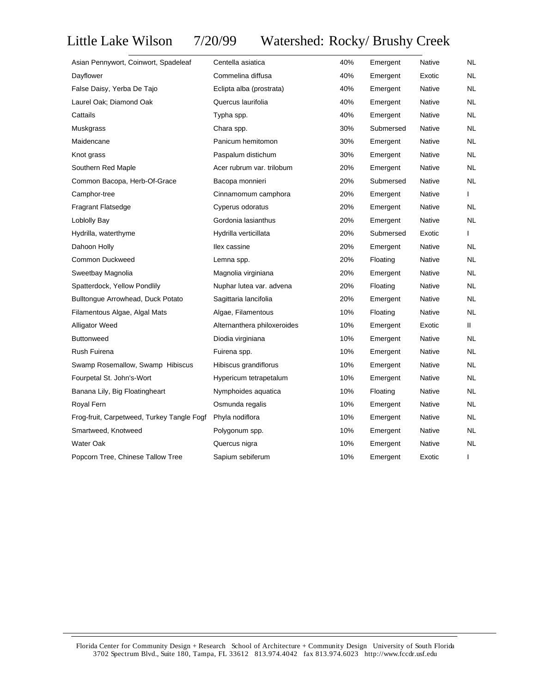## Little Lake Wilson 7/20/99 Watershed: Rocky/ Brushy Creek

| Asian Pennywort, Coinwort, Spadeleaf       | Centella asiatica           | 40% | Emergent  | Native        | NL        |
|--------------------------------------------|-----------------------------|-----|-----------|---------------|-----------|
| Dayflower                                  | Commelina diffusa           | 40% | Emergent  | Exotic        | <b>NL</b> |
| False Daisy, Yerba De Tajo                 | Eclipta alba (prostrata)    | 40% | Emergent  | Native        | <b>NL</b> |
| Laurel Oak; Diamond Oak                    | Quercus laurifolia          | 40% | Emergent  | Native        | NL        |
| Cattails                                   | Typha spp.                  | 40% | Emergent  | Native        | NL        |
| Muskgrass                                  | Chara spp.                  | 30% | Submersed | <b>Native</b> | NL        |
| Maidencane                                 | Panicum hemitomon           | 30% | Emergent  | Native        | <b>NL</b> |
| Knot grass                                 | Paspalum distichum          | 30% | Emergent  | Native        | NL        |
| Southern Red Maple                         | Acer rubrum var. trilobum   | 20% | Emergent  | Native        | <b>NL</b> |
| Common Bacopa, Herb-Of-Grace               | Bacopa monnieri             | 20% | Submersed | <b>Native</b> | NL        |
| Camphor-tree                               | Cinnamomum camphora         | 20% | Emergent  | <b>Native</b> | L         |
| <b>Fragrant Flatsedge</b>                  | Cyperus odoratus            | 20% | Emergent  | Native        | <b>NL</b> |
| Loblolly Bay                               | Gordonia lasianthus         | 20% | Emergent  | Native        | <b>NL</b> |
| Hydrilla, waterthyme                       | Hydrilla verticillata       | 20% | Submersed | Exotic        | L         |
| Dahoon Holly                               | Ilex cassine                | 20% | Emergent  | <b>Native</b> | <b>NL</b> |
| <b>Common Duckweed</b>                     | Lemna spp.                  | 20% | Floating  | Native        | NL        |
| Sweetbay Magnolia                          | Magnolia virginiana         | 20% | Emergent  | Native        | NL        |
| Spatterdock, Yellow Pondlily               | Nuphar lutea var. advena    | 20% | Floating  | Native        | <b>NL</b> |
| Bulltongue Arrowhead, Duck Potato          | Sagittaria lancifolia       | 20% | Emergent  | Native        | <b>NL</b> |
| Filamentous Algae, Algal Mats              | Algae, Filamentous          | 10% | Floating  | Native        | NL        |
| <b>Alligator Weed</b>                      | Alternanthera philoxeroides | 10% | Emergent  | Exotic        | Ш.        |
| <b>Buttonweed</b>                          | Diodia virginiana           | 10% | Emergent  | Native        | <b>NL</b> |
| Rush Fuirena                               | Fuirena spp.                | 10% | Emergent  | <b>Native</b> | NL        |
| Swamp Rosemallow, Swamp Hibiscus           | Hibiscus grandiflorus       | 10% | Emergent  | <b>Native</b> | <b>NL</b> |
| Fourpetal St. John's-Wort                  | Hypericum tetrapetalum      | 10% | Emergent  | Native        | <b>NL</b> |
| Banana Lily, Big Floatingheart             | Nymphoides aquatica         | 10% | Floating  | <b>Native</b> | NL        |
| Royal Fern                                 | Osmunda regalis             | 10% | Emergent  | Native        | <b>NL</b> |
| Frog-fruit, Carpetweed, Turkey Tangle Fogf | Phyla nodiflora             | 10% | Emergent  | Native        | NL        |
| Smartweed, Knotweed                        | Polygonum spp.              | 10% | Emergent  | Native        | <b>NL</b> |
| Water Oak                                  | Quercus nigra               | 10% | Emergent  | <b>Native</b> | <b>NL</b> |
| Popcorn Tree, Chinese Tallow Tree          | Sapium sebiferum            | 10% | Emergent  | Exotic        | L         |